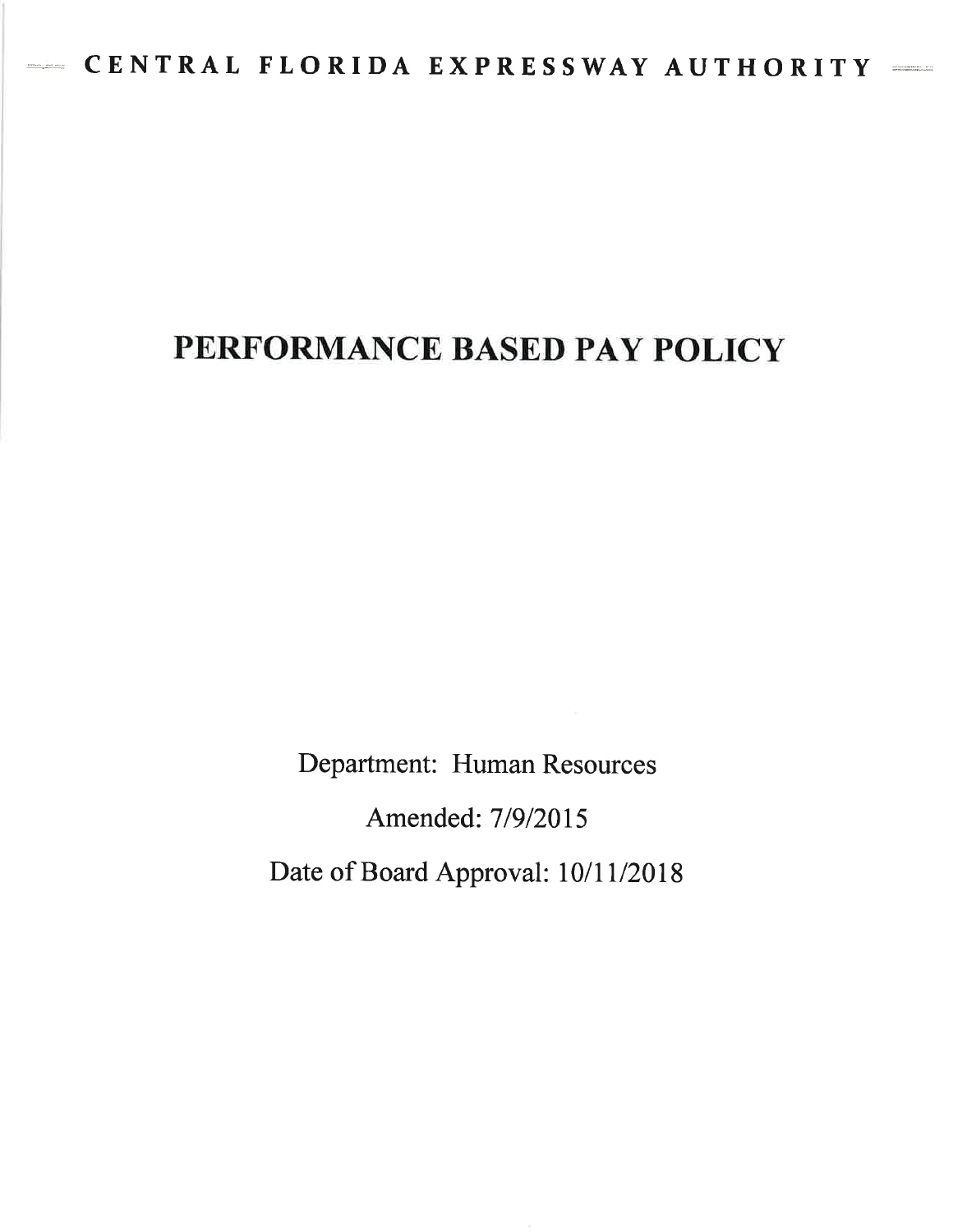# PERFORMANCE BASED PAY POLICY

Department: Human Resources

Amended: 719/2015

Date of Board Approval: 10/11/2018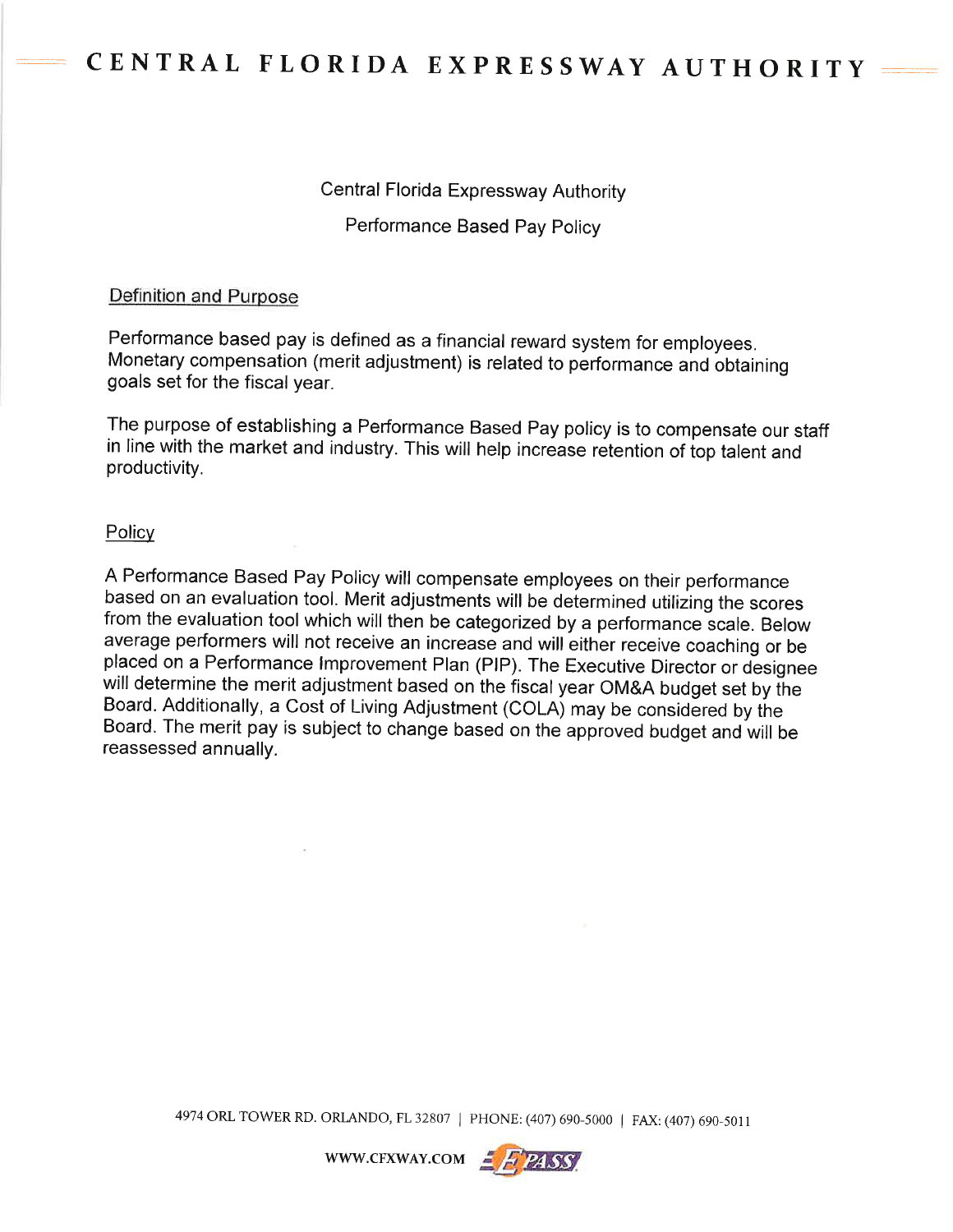#### Central Florida Expressway Authority

Performance Based Pay Policy

#### Definition and Purpose

Performance based pay is defined as a financial reward system for employees. Monetary compensation (merit adjustment) is related to performance and bbtaining goals set for the fiscal year.

The purpose of establishing a Performance Based Pay policy is to compensate our staff in line with the market and industry. This will help increase retention of top talent and productivity.

#### **Policy**

A Performance Based Pay Policy will compensate employees on their performance based on an evaluation tool. Merit adjustments will be determined utilizing the scores from the evaluation tool which will then be categorized by a performance scale. Below average performers will not receive an increase and will either receive coaching or be placed on a Performance lmprovement Plan (PlP). The Executive Director or designee will determine the merit adjustment based on the fiscal year OM&A budget set by the Board. Additionally, a Cost of Living Adjustment (COLA) may be considered by the Board. The merit pay is subject to change based on the approved budget and will be reassessed annually.

4974 ORL TOWER RD. ORLANDO, FL 32807 | PHONE: (407) 690-5000 | FAX: (407) 690-5011